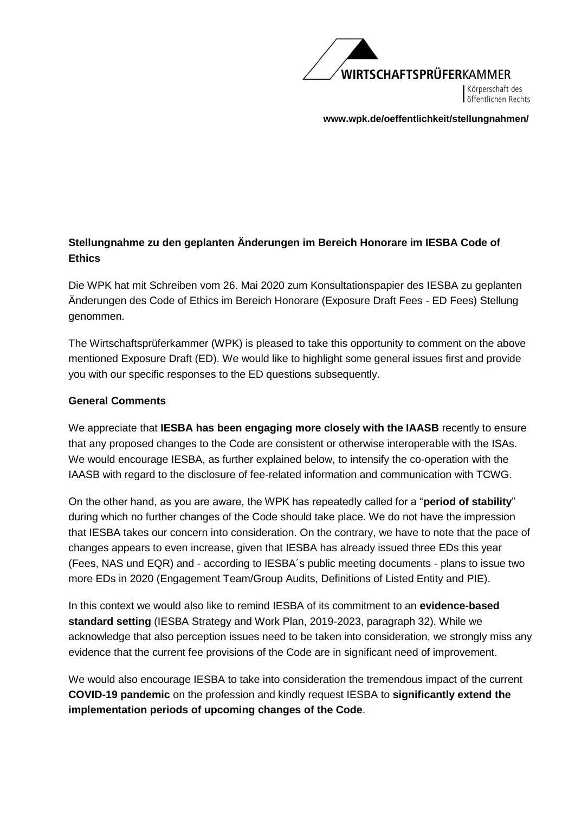

Körperschaft des öffentlichen Rechts

**[www.wpk.de/oeffentlichkeit/stellungnahmen/](http://www.wpk.de/oeffentlichkeit/stellungnahmen/2020)** 

# **Stellungnahme zu den geplanten Änderungen im Bereich Honorare im IESBA Code of Ethics**

Die WPK hat mit Schreiben vom 26. Mai 2020 zum Konsultationspapier des IESBA zu geplanten Änderungen des Code of Ethics im Bereich Honorare (Exposure Draft Fees - ED Fees) Stellung genommen.

The Wirtschaftsprüferkammer (WPK) is pleased to take this opportunity to comment on the above mentioned Exposure Draft (ED). We would like to highlight some general issues first and provide you with our specific responses to the ED questions subsequently.

### **General Comments**

We appreciate that **IESBA has been engaging more closely with the IAASB** recently to ensure that any proposed changes to the Code are consistent or otherwise interoperable with the ISAs. We would encourage IESBA, as further explained below, to intensify the co-operation with the IAASB with regard to the disclosure of fee-related information and communication with TCWG.

On the other hand, as you are aware, the WPK has repeatedly called for a "**period of stability**" during which no further changes of the Code should take place. We do not have the impression that IESBA takes our concern into consideration. On the contrary, we have to note that the pace of changes appears to even increase, given that IESBA has already issued three EDs this year (Fees, NAS und EQR) and - according to IESBA´s public meeting documents - plans to issue two more EDs in 2020 (Engagement Team/Group Audits, Definitions of Listed Entity and PIE).

In this context we would also like to remind IESBA of its commitment to an **evidence-based standard setting** (IESBA Strategy and Work Plan, 2019-2023, paragraph 32). While we acknowledge that also perception issues need to be taken into consideration, we strongly miss any evidence that the current fee provisions of the Code are in significant need of improvement.

We would also encourage IESBA to take into consideration the tremendous impact of the current **COVID-19 pandemic** on the profession and kindly request IESBA to **significantly extend the implementation periods of upcoming changes of the Code**.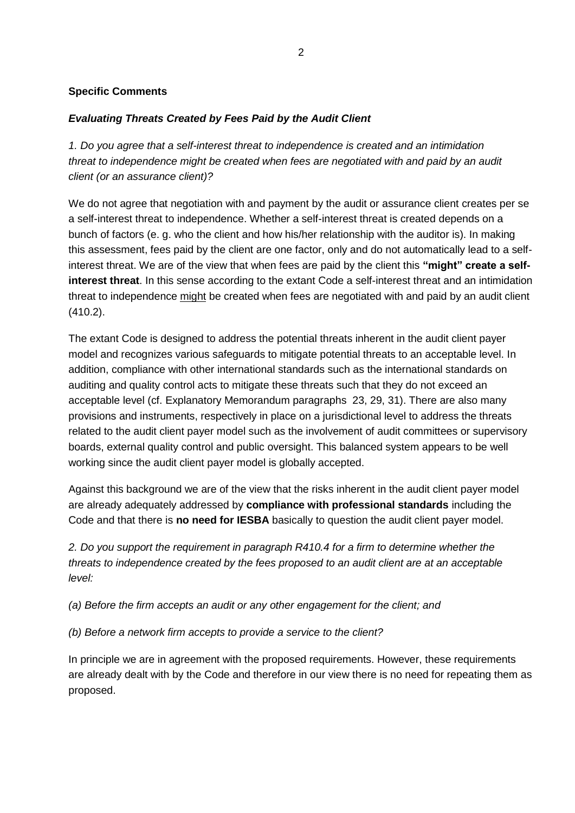#### **Specific Comments**

### *Evaluating Threats Created by Fees Paid by the Audit Client*

*1. Do you agree that a self-interest threat to independence is created and an intimidation threat to independence might be created when fees are negotiated with and paid by an audit client (or an assurance client)?* 

We do not agree that negotiation with and payment by the audit or assurance client creates per se a self-interest threat to independence. Whether a self-interest threat is created depends on a bunch of factors (e. g. who the client and how his/her relationship with the auditor is). In making this assessment, fees paid by the client are one factor, only and do not automatically lead to a selfinterest threat. We are of the view that when fees are paid by the client this **"might" create a selfinterest threat**. In this sense according to the extant Code a self-interest threat and an intimidation threat to independence might be created when fees are negotiated with and paid by an audit client (410.2).

The extant Code is designed to address the potential threats inherent in the audit client payer model and recognizes various safeguards to mitigate potential threats to an acceptable level. In addition, compliance with other international standards such as the international standards on auditing and quality control acts to mitigate these threats such that they do not exceed an acceptable level (cf. Explanatory Memorandum paragraphs 23, 29, 31). There are also many provisions and instruments, respectively in place on a jurisdictional level to address the threats related to the audit client payer model such as the involvement of audit committees or supervisory boards, external quality control and public oversight. This balanced system appears to be well working since the audit client payer model is globally accepted.

Against this background we are of the view that the risks inherent in the audit client payer model are already adequately addressed by **compliance with professional standards** including the Code and that there is **no need for IESBA** basically to question the audit client payer model.

*2. Do you support the requirement in paragraph R410.4 for a firm to determine whether the threats to independence created by the fees proposed to an audit client are at an acceptable level:* 

*(a) Before the firm accepts an audit or any other engagement for the client; and* 

*(b) Before a network firm accepts to provide a service to the client?* 

In principle we are in agreement with the proposed requirements. However, these requirements are already dealt with by the Code and therefore in our view there is no need for repeating them as proposed.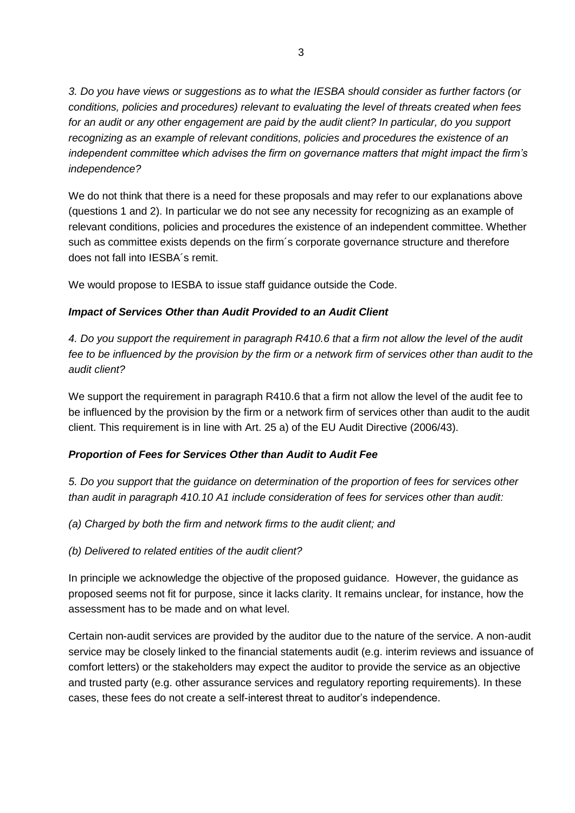*3. Do you have views or suggestions as to what the IESBA should consider as further factors (or conditions, policies and procedures) relevant to evaluating the level of threats created when fees*  for an audit or any other engagement are paid by the audit client? In particular, do you support *recognizing as an example of relevant conditions, policies and procedures the existence of an independent committee which advises the firm on governance matters that might impact the firm's independence?* 

We do not think that there is a need for these proposals and may refer to our explanations above (questions 1 and 2). In particular we do not see any necessity for recognizing as an example of relevant conditions, policies and procedures the existence of an independent committee. Whether such as committee exists depends on the firm´s corporate governance structure and therefore does not fall into IESBA´s remit.

We would propose to IESBA to issue staff guidance outside the Code.

### *Impact of Services Other than Audit Provided to an Audit Client*

*4. Do you support the requirement in paragraph R410.6 that a firm not allow the level of the audit*  fee to be influenced by the provision by the firm or a network firm of services other than audit to the *audit client?* 

We support the requirement in paragraph R410.6 that a firm not allow the level of the audit fee to be influenced by the provision by the firm or a network firm of services other than audit to the audit client. This requirement is in line with Art. 25 a) of the EU Audit Directive (2006/43).

### *Proportion of Fees for Services Other than Audit to Audit Fee*

*5. Do you support that the guidance on determination of the proportion of fees for services other than audit in paragraph 410.10 A1 include consideration of fees for services other than audit:* 

*(a) Charged by both the firm and network firms to the audit client; and* 

*(b) Delivered to related entities of the audit client?* 

In principle we acknowledge the objective of the proposed guidance. However, the guidance as proposed seems not fit for purpose, since it lacks clarity. It remains unclear, for instance, how the assessment has to be made and on what level.

Certain non-audit services are provided by the auditor due to the nature of the service. A non-audit service may be closely linked to the financial statements audit (e.g. interim reviews and issuance of comfort letters) or the stakeholders may expect the auditor to provide the service as an objective and trusted party (e.g. other assurance services and regulatory reporting requirements). In these cases, these fees do not create a self-interest threat to auditor's independence.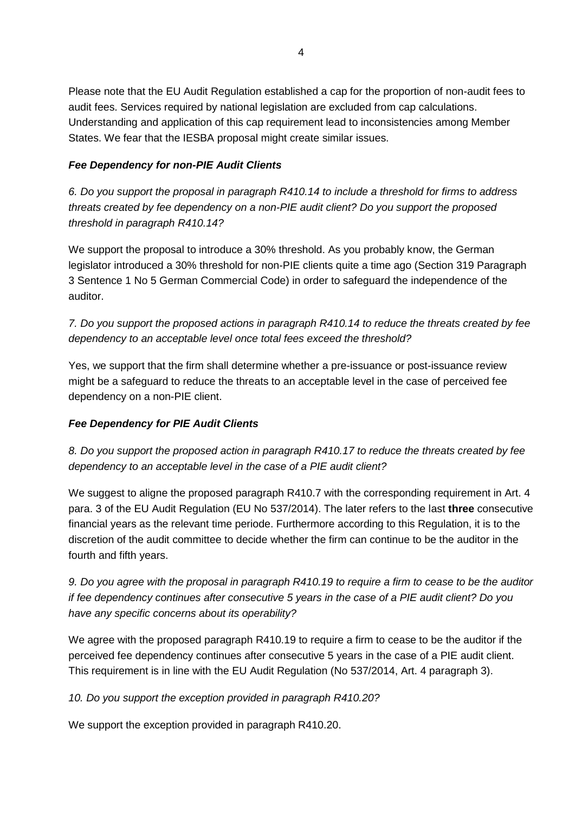Please note that the EU Audit Regulation established a cap for the proportion of non-audit fees to audit fees. Services required by national legislation are excluded from cap calculations. Understanding and application of this cap requirement lead to inconsistencies among Member States. We fear that the IESBA proposal might create similar issues.

### *Fee Dependency for non-PIE Audit Clients*

*6. Do you support the proposal in paragraph R410.14 to include a threshold for firms to address threats created by fee dependency on a non-PIE audit client? Do you support the proposed threshold in paragraph R410.14?* 

We support the proposal to introduce a 30% threshold. As you probably know, the German legislator introduced a 30% threshold for non-PIE clients quite a time ago (Section 319 Paragraph 3 Sentence 1 No 5 German Commercial Code) in order to safeguard the independence of the auditor.

*7. Do you support the proposed actions in paragraph R410.14 to reduce the threats created by fee dependency to an acceptable level once total fees exceed the threshold?* 

Yes, we support that the firm shall determine whether a pre-issuance or post-issuance review might be a safeguard to reduce the threats to an acceptable level in the case of perceived fee dependency on a non-PIE client.

# *Fee Dependency for PIE Audit Clients*

*8. Do you support the proposed action in paragraph R410.17 to reduce the threats created by fee dependency to an acceptable level in the case of a PIE audit client?* 

We suggest to aligne the proposed paragraph R410.7 with the corresponding requirement in Art. 4 para. 3 of the EU Audit Regulation (EU No 537/2014). The later refers to the last **three** consecutive financial years as the relevant time periode. Furthermore according to this Regulation, it is to the discretion of the audit committee to decide whether the firm can continue to be the auditor in the fourth and fifth years.

*9. Do you agree with the proposal in paragraph R410.19 to require a firm to cease to be the auditor if fee dependency continues after consecutive 5 years in the case of a PIE audit client? Do you have any specific concerns about its operability?* 

We agree with the proposed paragraph R410.19 to require a firm to cease to be the auditor if the perceived fee dependency continues after consecutive 5 years in the case of a PIE audit client. This requirement is in line with the EU Audit Regulation (No 537/2014, Art. 4 paragraph 3).

*10. Do you support the exception provided in paragraph R410.20?* 

We support the exception provided in paragraph R410.20.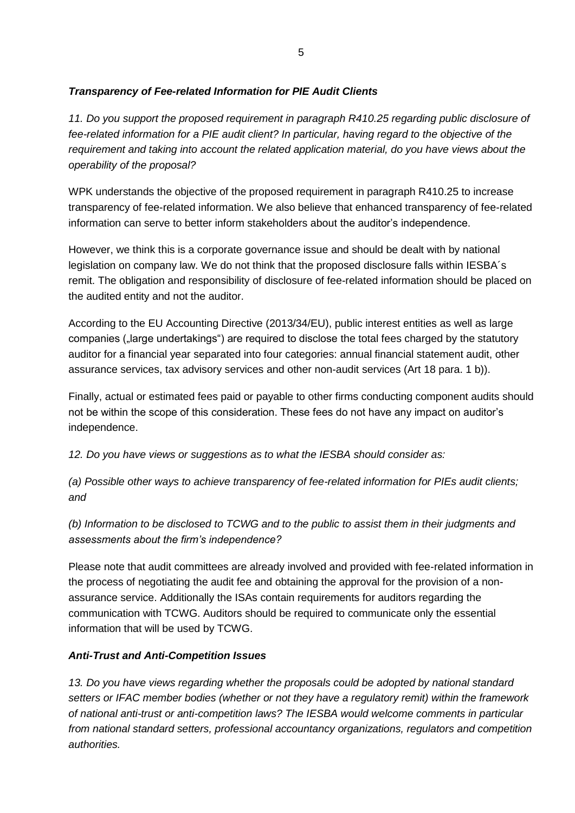# *Transparency of Fee-related Information for PIE Audit Clients*

11. Do you support the proposed requirement in paragraph R410.25 regarding public disclosure of *fee-related information for a PIE audit client? In particular, having regard to the objective of the requirement and taking into account the related application material, do you have views about the operability of the proposal?* 

WPK understands the objective of the proposed requirement in paragraph R410.25 to increase transparency of fee-related information. We also believe that enhanced transparency of fee-related information can serve to better inform stakeholders about the auditor's independence.

However, we think this is a corporate governance issue and should be dealt with by national legislation on company law. We do not think that the proposed disclosure falls within IESBA´s remit. The obligation and responsibility of disclosure of fee-related information should be placed on the audited entity and not the auditor.

According to the EU Accounting Directive (2013/34/EU), public interest entities as well as large companies ("large undertakings") are required to disclose the total fees charged by the statutory auditor for a financial year separated into four categories: annual financial statement audit, other assurance services, tax advisory services and other non-audit services (Art 18 para. 1 b)).

Finally, actual or estimated fees paid or payable to other firms conducting component audits should not be within the scope of this consideration. These fees do not have any impact on auditor's independence.

*12. Do you have views or suggestions as to what the IESBA should consider as:* 

*(a) Possible other ways to achieve transparency of fee-related information for PIEs audit clients; and* 

*(b) Information to be disclosed to TCWG and to the public to assist them in their judgments and assessments about the firm's independence?* 

Please note that audit committees are already involved and provided with fee-related information in the process of negotiating the audit fee and obtaining the approval for the provision of a nonassurance service. Additionally the ISAs contain requirements for auditors regarding the communication with TCWG. Auditors should be required to communicate only the essential information that will be used by TCWG.

# *Anti-Trust and Anti-Competition Issues*

*13. Do you have views regarding whether the proposals could be adopted by national standard setters or IFAC member bodies (whether or not they have a regulatory remit) within the framework of national anti-trust or anti-competition laws? The IESBA would welcome comments in particular from national standard setters, professional accountancy organizations, regulators and competition authorities.*